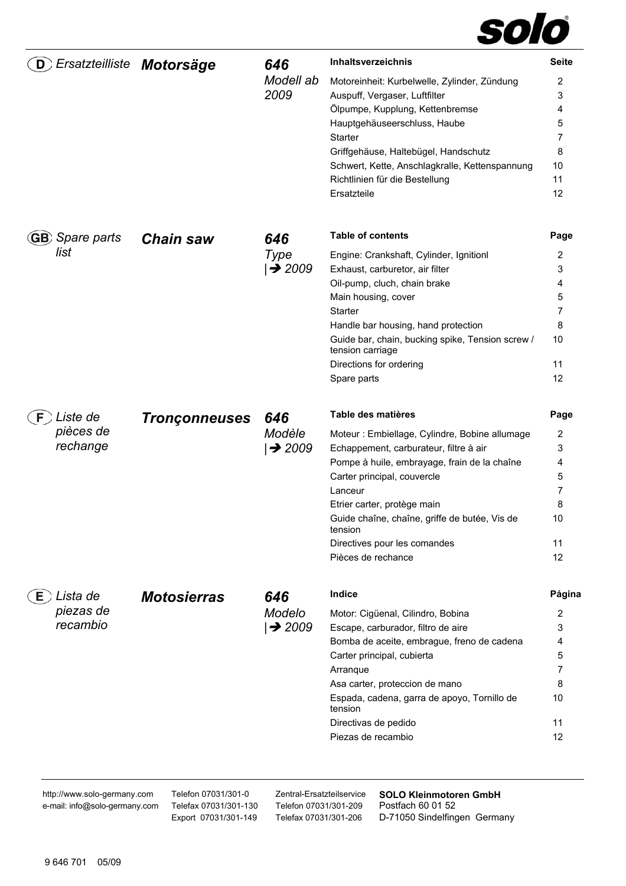

| D                       | Ersatzteilliste Motorsäge | 646                          | <b>Inhaltsverzeichnis</b>                                                        | <b>Seite</b> |
|-------------------------|---------------------------|------------------------------|----------------------------------------------------------------------------------|--------------|
|                         |                           | Modell ab                    | Motoreinheit: Kurbelwelle, Zylinder, Zündung                                     | 2            |
|                         |                           | 2009                         | Auspuff, Vergaser, Luftfilter                                                    | 3            |
|                         |                           |                              | Ölpumpe, Kupplung, Kettenbremse                                                  | 4            |
|                         |                           |                              | Hauptgehäuseerschluss, Haube                                                     | 5            |
|                         |                           |                              | Starter                                                                          | 7            |
|                         |                           |                              | Griffgehäuse, Haltebügel, Handschutz                                             | 8            |
|                         |                           |                              | Schwert, Kette, Anschlagkralle, Kettenspannung<br>Richtlinien für die Bestellung | 10<br>11     |
|                         |                           |                              | Ersatzteile                                                                      | 12           |
|                         |                           |                              |                                                                                  |              |
| <b>GB</b> ) Spare parts | <b>Chain saw</b>          | 646                          | <b>Table of contents</b>                                                         | Page         |
| list                    |                           | Type                         | Engine: Crankshaft, Cylinder, Ignitionl                                          | 2            |
|                         |                           | $\rightarrow$ 2009           | Exhaust, carburetor, air filter                                                  | 3            |
|                         |                           |                              | Oil-pump, cluch, chain brake                                                     | 4            |
|                         |                           |                              | Main housing, cover                                                              | 5            |
|                         |                           |                              | Starter                                                                          | 7            |
|                         |                           |                              | Handle bar housing, hand protection                                              | 8            |
|                         |                           |                              | Guide bar, chain, bucking spike, Tension screw /<br>tension carriage             | 10           |
|                         |                           |                              | Directions for ordering                                                          | 11           |
|                         |                           |                              | Spare parts                                                                      | 12           |
| Liste de                | <b>Tronçonneuses</b>      | 646                          | Table des matières                                                               | Page         |
| pièces de               |                           | Modèle<br>$\rightarrow$ 2009 | Moteur : Embiellage, Cylindre, Bobine allumage                                   | 2            |
| rechange                |                           |                              | Echappement, carburateur, filtre à air                                           | 3            |
|                         |                           |                              | Pompe à huile, embrayage, frain de la chaîne                                     | 4            |
|                         |                           |                              | Carter principal, couvercle                                                      | 5            |
|                         |                           |                              | Lanceur                                                                          | 7            |
|                         |                           |                              | Etrier carter, protège main                                                      | 8            |
|                         |                           |                              | Guide chaîne, chaîne, griffe de butée, Vis de<br>tension                         | 10           |
|                         |                           |                              | Directives pour les comandes                                                     | 11           |
|                         |                           |                              | Pièces de rechance                                                               | 12           |
| Lista de<br>E.          | <b>Motosierras</b>        | 646                          | Indice                                                                           | Página       |
| piezas de               |                           | Modelo                       | Motor: Cigüenal, Cilindro, Bobina                                                | 2            |
| recambio                |                           | $\rightarrow$ 2009           | Escape, carburador, filtro de aire                                               | 3            |
|                         |                           |                              | Bomba de aceite, embrague, freno de cadena                                       | 4            |
|                         |                           |                              | Carter principal, cubierta                                                       | 5            |
|                         |                           |                              | Arranque                                                                         | 7            |
|                         |                           |                              | Asa carter, proteccion de mano                                                   | 8            |
|                         |                           |                              | Espada, cadena, garra de apoyo, Tornillo de<br>tension                           | 10           |
|                         |                           |                              | Directivas de pedido                                                             | 11           |
|                         |                           |                              | Piezas de recambio                                                               | 12           |

http://www.solo-germany.com e-mail: info@solo-germany.com Telefon 07031/301-0 Telefax 07031/301-130 Export 07031/301-149 Telefon 07031/301-209 Telefax 07031/301-206

Zentral-Ersatzteilservice **SOLO Kleinmotoren GmbH**  Postfach 60 01 52 D-71050 Sindelfingen Germany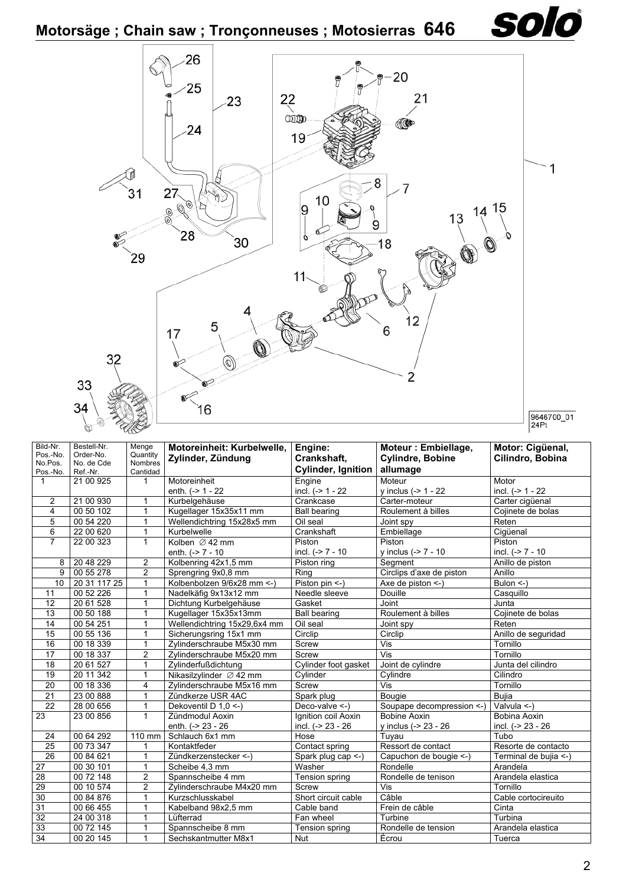

| Bild-Nr.<br>Pos.-No.<br>No.Pos.<br>Pos.-No. | Bestell-Nr.<br>Order-No.<br>No. de Cde<br>Ref.-Nr. | Menge<br>Quantity<br><b>Nombres</b><br>Cantidad | Motoreinheit: Kurbelwelle,<br>Zylinder, Zündung | Engine:<br>Crankshaft.<br><b>Cylinder, Ignition</b> | Moteur: Embiellage,<br><b>Cylindre, Bobine</b><br>allumage | Motor: Cigüenal,<br>Cilindro, Bobina |
|---------------------------------------------|----------------------------------------------------|-------------------------------------------------|-------------------------------------------------|-----------------------------------------------------|------------------------------------------------------------|--------------------------------------|
| $\mathbf{1}$                                | 21 00 925                                          | $\mathbf{1}$                                    | Motoreinheit<br>enth. $(-> 1 - 22)$             | Engine<br>incl. (-> 1 - 22                          | Moteur<br>y inclus $(-> 1 - 22)$                           | Motor<br>incl. $(-> 1 - 22)$         |
| $\overline{2}$                              | 21 00 930                                          | $\mathbf{1}$                                    | Kurbelgehäuse                                   | Crankcase                                           | Carter-moteur                                              | Carter cigüenal                      |
| $\overline{4}$                              | 00 50 102                                          | 1                                               | Kugellager 15x35x11 mm                          | <b>Ball bearing</b>                                 | Roulement à billes                                         | Coiinete de bolas                    |
| 5                                           | 00 54 220                                          | 1                                               | Wellendichtring 15x28x5 mm                      | Oil seal                                            | Joint spy                                                  | Reten                                |
| 6                                           | 22 00 620                                          | 1                                               | Kurbelwelle                                     | Crankshaft                                          | Embiellage                                                 | Cigüenal                             |
| $\overline{7}$                              | 22 00 323                                          | $\mathbf{1}$                                    | Kolben $\varnothing$ 42 mm                      | Piston                                              | Piston                                                     | Piston                               |
|                                             |                                                    |                                                 | enth. $(-2) - 10$                               | incl. $(-27 - 10)$                                  | y inclus (-> 7 - 10                                        | incl. (-> 7 - 10                     |
| 8                                           | 20 48 229                                          | $\overline{2}$                                  | Kolbenring 42x1,5 mm                            | Piston ring                                         | Segment                                                    | Anillo de piston                     |
| $\overline{9}$                              | 00 55 278                                          | $\overline{2}$                                  | Sprengring 9x0,8 mm                             | Ring                                                | Circlips d'axe de piston                                   | Anillo                               |
| 10 <sup>°</sup>                             | 20 31 117 25                                       | $\mathbf{1}$                                    | Kolbenbolzen 9/6x28 mm <- )                     | Piston pin <- )                                     | Axe de piston $\leq$ -)                                    | Bulon $\leq$ -)                      |
| 11                                          | 00 52 226                                          | 1                                               | Nadelkäfig 9x13x12 mm                           | Needle sleeve                                       | Douille                                                    | Casquillo                            |
| 12                                          | 20 61 528                                          | $\mathbf{1}$                                    | Dichtung Kurbelgehäuse                          | Gasket                                              | Joint                                                      | Junta                                |
| 13                                          | 0050188                                            | 1                                               | Kugellager 15x35x13mm                           | <b>Ball bearing</b>                                 | Roulement à billes                                         | Cojinete de bolas                    |
| $\overline{14}$                             | 00 54 251                                          | 1                                               | Wellendichtring 15x29,6x4 mm                    | Oil seal                                            | Joint spy                                                  | Reten                                |
| 15                                          | 00 55 136                                          | $\mathbf{1}$                                    | Sicherungsring 15x1 mm                          | Circlip                                             | Circlip                                                    | Anillo de seguridad                  |
| 16                                          | 00 18 339                                          | $\mathbf{1}$                                    | Zvlinderschraube M5x30 mm                       | Screw                                               | Vis                                                        | Tornillo                             |
| 17                                          | 00 18 337                                          | $\overline{2}$                                  | Zylinderschraube M5x20 mm                       | Screw                                               | Vis                                                        | Tornillo                             |
| 18                                          | 20 61 527                                          | $\mathbf{1}$                                    | Zylinderfußdichtung                             | Cylinder foot gasket                                | Joint de cylindre                                          | Junta del cilindro                   |
| 19                                          | 20 11 342                                          | $\mathbf 1$                                     | Nikasilzylinder Ø 42 mm                         | Cylinder                                            | Cylindre                                                   | Cilindro                             |
| 20                                          | 00 18 336                                          | 4                                               | Zylinderschraube M5x16 mm                       | Screw                                               | Vis                                                        | Tornillo                             |
| 21                                          | 23 00 888                                          | $\mathbf{1}$                                    | Zündkerze USR 4AC                               | Spark plug                                          | <b>Bougie</b>                                              | <b>Bujia</b>                         |
| $\overline{22}$                             | 28 00 656                                          | 1                                               | Dekoventil D 1,0 <- )                           | Deco-valve $\le$ -)                                 | Soupape decompression <- )                                 | Valvula <-)                          |
| 23                                          | 23 00 856                                          | $\mathbf{1}$                                    | Zündmodul Aoxin                                 | Ignition coil Aoxin                                 | <b>Bobine Aoxin</b>                                        | Bobina Aoxin                         |
|                                             |                                                    |                                                 | enth. (-> 23 - 26                               | incl. (-> 23 - 26                                   | y inclus (-> 23 - 26                                       | incl. (-> 23 - 26                    |
| 24                                          | 00 64 292                                          | 110 mm                                          | Schlauch 6x1 mm                                 | Hose                                                | Tuyau                                                      | Tubo                                 |
| 25                                          | 00 73 347                                          | $\mathbf 1$                                     | Kontaktfeder                                    | Contact spring                                      | Ressort de contact                                         | Resorte de contacto                  |
| 26                                          | 00 84 621                                          | $\mathbf 1$                                     | Zündkerzenstecker <-)                           | Spark plug cap <-)                                  | Capuchon de bougie <- )                                    | Terminal de bujia <-)                |
| 27                                          | 00 30 101                                          | $\mathbf{1}$                                    | Scheibe 4.3 mm                                  | Washer                                              | Rondelle                                                   | Arandela                             |
| 28                                          | 00 72 148                                          | 2                                               | Spannscheibe 4 mm                               | Tension spring                                      | Rondelle de tenison                                        | Arandela elastica                    |
| 29                                          | 00 10 574                                          | $\overline{2}$                                  | Zvlinderschraube M4x20 mm                       | Screw                                               | Vis                                                        | Tornillo                             |
| 30                                          | 00 84 876                                          | $\mathbf{1}$                                    | Kurzschlusskabel                                | Short circuit cable                                 | Câble                                                      | Cable cortocireuito                  |
| 31                                          | 00 66 455                                          | $\mathbf 1$                                     | Kabelband 98x2,5 mm                             | Cable band                                          | Frein de câble                                             | Cinta                                |
| 32                                          | 24 00 318                                          | $\mathbf 1$                                     | Lüfterrad                                       | Fan wheel                                           | Turbine                                                    | Turbina                              |
| 33                                          | 00 72 145                                          | 1                                               | Spannscheibe 8 mm                               | Tension spring                                      | Rondelle de tension                                        | Arandela elastica                    |
| $\overline{34}$                             | 00 20 145                                          | 1                                               | Sechskantmutter M8x1                            | Nut                                                 | Écrou                                                      | Tuerca                               |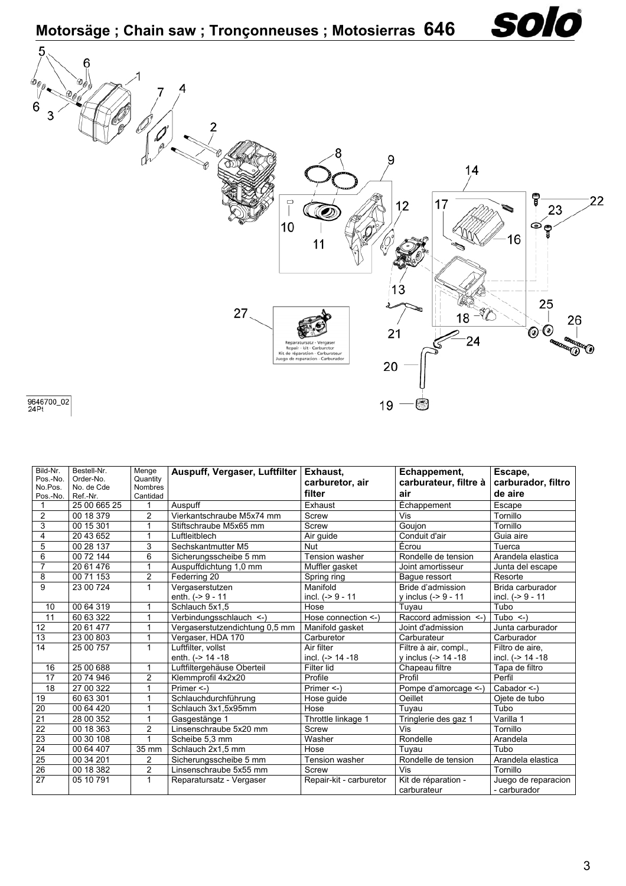

9646700\_02<br>24Pt

| Bild-Nr.<br>Pos.-No.<br>No.Pos.<br>Pos.-No. | Bestell-Nr.<br>Order-No.<br>No. de Cde<br>Ref.-Nr. | Menge<br>Quantity<br><b>Nombres</b><br>Cantidad | Auspuff, Vergaser, Luftfilter  | Exhaust,<br>carburetor, air<br>filter | Echappement,<br>carburateur, filtre à<br>air | Escape,<br>carburador, filtro<br>de aire |
|---------------------------------------------|----------------------------------------------------|-------------------------------------------------|--------------------------------|---------------------------------------|----------------------------------------------|------------------------------------------|
| 1                                           | 25 00 665 25                                       | 1                                               | Auspuff                        | Exhaust                               | Echappement                                  | Escape                                   |
| $\overline{2}$                              | 00 18 379                                          | $\overline{2}$                                  | Vierkantschraube M5x74 mm      | Screw                                 | Vis                                          | Tornillo                                 |
| 3                                           | 00 15 301                                          |                                                 | Stiftschraube M5x65 mm         | Screw                                 | Gouion                                       | Tornillo                                 |
| 4                                           | 20 43 652                                          | 1                                               | Luftleitblech                  | Air guide                             | Conduit d'air                                | Guia aire                                |
| 5                                           | 00 28 137                                          | 3                                               | Sechskantmutter M5             | Nut                                   | Écrou                                        | Tuerca                                   |
| 6                                           | 00 72 144                                          | 6                                               | Sicherungsscheibe 5 mm         | Tension washer                        | Rondelle de tension                          | Arandela elastica                        |
| $\overline{7}$                              | 20 61 476                                          | 1                                               | Auspuffdichtung 1,0 mm         | Muffler gasket                        | Joint amortisseur                            | Junta del escape                         |
| 8                                           | 00 71 153                                          | $\overline{2}$                                  | Federring 20                   | Spring ring                           | Bague ressort                                | Resorte                                  |
| 9                                           | 23 00 724                                          | 1                                               | Vergaserstutzen                | Manifold                              | Bride d'admission                            | Brida carburador                         |
|                                             |                                                    |                                                 | enth. $(-)$ 9 - 11             | incl. $(-59 - 11)$                    | y inclus $(-59 - 11)$                        | incl. (-> 9 - 11                         |
| 10                                          | 00 64 319                                          |                                                 | Schlauch 5x1.5                 | Hose                                  | Tuyau                                        | Tubo                                     |
| 11                                          | 60 63 322                                          | 1                                               | Verbindungsschlauch <- )       | Hose connection <- )                  | Raccord admission <-)                        | Tubo $\leq$ )                            |
| 12                                          | 20 61 477                                          | 1                                               | Vergaserstutzendichtung 0,5 mm | Manifold gasket                       | Joint d'admission                            | Junta carburador                         |
| 13                                          | 23 00 803                                          |                                                 | Vergaser, HDA 170              | Carburetor                            | Carburateur                                  | Carburador                               |
| 14                                          | 25 00 757                                          | $\mathbf{1}$                                    | Luftfilter, vollst             | Air filter                            | Filtre à air, compl.,                        | Filtro de aire.                          |
|                                             |                                                    |                                                 | enth. (-> 14 -18               | incl. (-> 14 -18                      | y inclus (-> 14 -18                          | incl. (-> 14 -18                         |
| 16                                          | 25 00 688                                          | $\mathbf 1$                                     | Luftfiltergehäuse Oberteil     | Filter lid                            | Chapeau filtre                               | Tapa de filtro                           |
| 17                                          | 20 74 946                                          | $\overline{2}$                                  | Klemmprofil 4x2x20             | Profile                               | Profil                                       | Perfil                                   |
| 18                                          | 27 00 322                                          | 1                                               | Primer <- )                    | Primer $\leq$ -)                      | Pompe d'amorcage <-)                         | Cabador <-)                              |
| 19                                          | 60 63 301                                          | 1                                               | Schlauchdurchführung           | Hose guide                            | Oeillet                                      | Ojete de tubo                            |
| 20                                          | 00 64 420                                          | 1                                               | Schlauch 3x1.5x95mm            | Hose                                  | Tuvau                                        | Tubo                                     |
| 21                                          | 28 00 352                                          |                                                 | Gasgestänge 1                  | Throttle linkage 1                    | Tringlerie des gaz 1                         | Varilla 1                                |
| 22                                          | 00 18 363                                          | $\overline{2}$                                  | Linsenschraube 5x20 mm         | Screw                                 | Vis                                          | Tornillo                                 |
| 23                                          | 00 30 108                                          | 1                                               | Scheibe 5,3 mm                 | Washer                                | Rondelle                                     | Arandela                                 |
| 24                                          | 00 64 407                                          | 35 mm                                           | Schlauch 2x1,5 mm              | Hose                                  | Tuvau                                        | Tubo                                     |
| $\overline{25}$                             | 00 34 201                                          | 2                                               | Sicherungsscheibe 5 mm         | <b>Tension washer</b>                 | Rondelle de tension                          | Arandela elastica                        |
| $\overline{26}$                             | 00 18 382                                          | $\overline{2}$                                  | Linsenschraube 5x55 mm         | Screw                                 | Vis                                          | Tornillo                                 |
| $\overline{27}$                             | 05 10 791                                          | 1                                               | Reparatursatz - Vergaser       | Repair-kit - carburetor               | Kit de réparation -<br>carburateur           | Juego de reparacion<br>- carburador      |

solo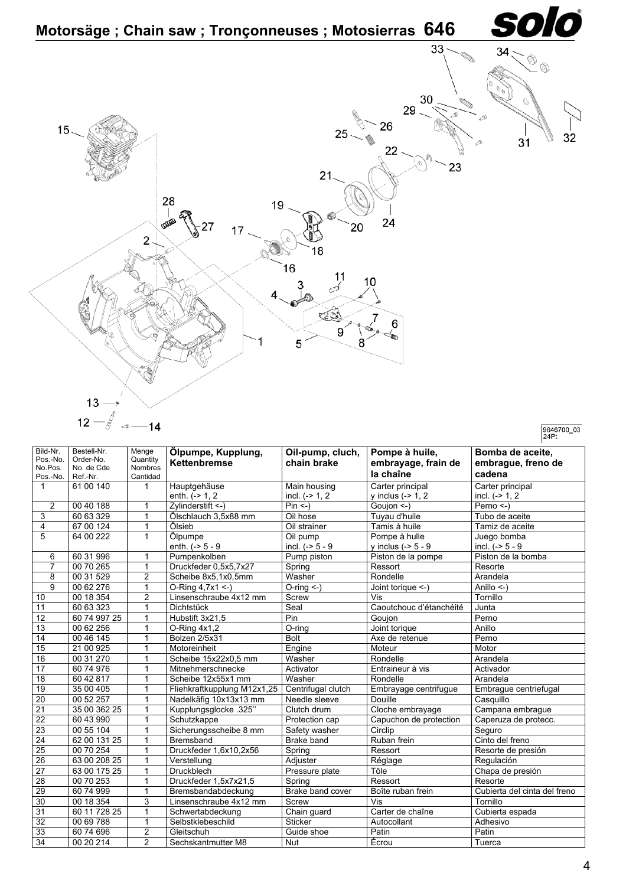

9646700\_03

| Bomba de aceite,<br>Pos.-No.<br>Quantity<br>Order-No.<br><b>Kettenbremse</b><br>chain brake<br>embrayage, frain de<br>embrague, freno de<br><b>Nombres</b><br>No.Pos.<br>No. de Cde<br>la chaîne<br>cadena<br>Cantidad<br>Pos.-No.<br>Ref.-Nr.<br>61 00 140<br>Carter principal<br>$\mathbf{1}$<br>Hauptgehäuse<br>Main housing<br>Carter principal<br>$\mathbf{1}$<br>enth. $(-2)$ 1, 2<br>incl. $(->1, 2)$<br>$v$ inclus ( $\geq 1$ , 2<br>incl. $(-2)$ 1, 2<br>2<br>00 40 188<br>Zylinderstift <-)<br>$Pin < -$<br>Goujon <-)<br>Perno $\leq$ -)<br>1<br>3<br>60 63 329<br>1<br>Ölschlauch 3.5x88 mm<br>Oil hose<br>Tubo de aceite<br>Tuyau d'huile<br>67 00 124<br>$\overline{4}$<br>1<br>Ölsieb<br>Oil strainer<br>Tamis à huile<br>Tamiz de aceite<br>5<br>$\mathbf{1}$<br>64 00 222<br>Ölpumpe<br>Juego bomba<br>Oil pump<br>Pompe à hulle<br>enth. $(-5 - 9)$<br>incl. $(-5 - 9)$<br>incl. $(-5 - 9)$<br>y inclus $(-5 - 9)$<br>60 31 996<br>Pump piston<br>Piston de la bomba<br>1<br>Pumpenkolben<br>Piston de la pompe<br>6<br>00 70 265<br>$\overline{7}$<br>Druckfeder 0,5x5,7x27<br>Spring<br>1<br>Ressort<br>Resorte<br>$\overline{2}$<br>00 31 529<br>8<br>Washer<br>Rondelle<br>Scheibe 8x5,1x0,5mm<br>Arandela<br>$\overline{9}$<br>$\mathbf{1}$<br>00 62 276<br>$O-Ring 4,7x1$ <-)<br>Anillo $\leq$ )<br>$O$ -ring $\leq$ -)<br>Joint torique <-)<br>$\overline{2}$<br>00 18 354<br>Linsenschraube 4x12 mm<br>Vis<br>Tornillo<br>10<br>Screw<br>Caoutchouc d'étanchéité<br>11<br>60 63 323<br>1<br>Seal<br>Dichtstück<br>Junta<br>12<br>$\mathbf{1}$<br>Pin<br>60 74 997 25<br>Hubstift 3x21,5<br>Goujon<br>Perno<br>13<br>1<br>00 62 256<br>$O$ -ring<br>Anillo<br>$O-Rinq 4x1.2$<br>Joint torique<br>00 46 145<br>Bolzen 2/5x31<br><b>Bolt</b><br>Axe de retenue<br>Perno<br>14<br>1<br>15<br>21 00 925<br>Engine<br>1<br>Motoreinheit<br>Moteur<br>Motor<br>16<br>$\mathbf{1}$<br>00 31 270<br>Washer<br>Scheibe 15x22x0,5 mm<br>Rondelle<br>Arandela<br>$\overline{17}$<br>60 74 976<br>1<br>Mitnehmerschnecke<br>Activator<br>Entraineur à vis<br>Activador<br>18<br>60 42 817<br>1<br>Scheibe 12x55x1 mm<br>Washer<br>Arandela<br>Rondelle<br>19<br>35 00 405<br>$\mathbf{1}$<br>Fliehkraftkupplung M12x1,25<br>Centrifugal clutch<br>Embrayage centrifugue<br>Embrague centriefugal<br>20<br>$\mathbf{1}$<br>00 52 257<br>Nadelkäfig 10x13x13 mm<br>Douille<br>Casquillo<br>Needle sleeve<br>$\overline{21}$<br>1<br>Cloche embrayage<br>35 00 362 25<br>Kupplungsglocke .325"<br>Clutch drum<br>Campana embrague<br>22<br>60 43 990<br>1<br>Schutzkappe<br>Capuchon de protection<br>Caperuza de protecc.<br>Protection cap<br>$\overline{23}$<br>1<br>00 55 104<br>Sicherungsscheibe 8 mm<br>Circlip<br>Safety washer<br>Seguro<br>Cinto del freno<br>24<br>62 00 131 25<br>1<br>Ruban frein<br><b>Bremsband</b><br>Brake band<br>$\overline{25}$<br>00 70 254<br>1<br>Druckfeder 1,6x10,2x56<br>Spring<br>Ressort<br>Resorte de presión<br>$\overline{26}$<br>63 00 208 25<br>1<br>Verstellung<br>Adjuster<br>Regulación<br>Réglage<br>$\overline{27}$<br>63 00 175 25<br>$\mathbf{1}$<br><b>Druckblech</b><br>Tôle<br>Pressure plate<br>Chapa de presión<br>28<br>00 70 253<br>Druckfeder 1.5x7x21.5<br>1<br>Spring<br>Ressort<br>Resorte<br>29<br>Brake band cover<br>Boîte ruban frein<br>Cubierta del cinta del freno<br>60 74 999<br>1<br>Bremsbandabdeckung<br>30<br>3<br>00 18 354<br>Linsenschraube 4x12 mm<br>Vis<br>Tornillo<br>Screw<br>31<br>60 11 728 25<br>1<br>Carter de chaîne<br>Chain guard<br>Cubierta espada<br>Schwertabdeckung<br>$\overline{32}$<br>00 69 788<br>1<br>Selbstklebeschild<br>Sticker<br>Autocollant<br>Adhesivo<br>$\overline{2}$<br>33<br>60 74 696<br>Patin<br>Gleitschuh<br>Guide shoe<br>Patin<br>$\overline{2}$<br>Sechskantmutter M8 |                 |             |       |                    |                  |                |        |
|--------------------------------------------------------------------------------------------------------------------------------------------------------------------------------------------------------------------------------------------------------------------------------------------------------------------------------------------------------------------------------------------------------------------------------------------------------------------------------------------------------------------------------------------------------------------------------------------------------------------------------------------------------------------------------------------------------------------------------------------------------------------------------------------------------------------------------------------------------------------------------------------------------------------------------------------------------------------------------------------------------------------------------------------------------------------------------------------------------------------------------------------------------------------------------------------------------------------------------------------------------------------------------------------------------------------------------------------------------------------------------------------------------------------------------------------------------------------------------------------------------------------------------------------------------------------------------------------------------------------------------------------------------------------------------------------------------------------------------------------------------------------------------------------------------------------------------------------------------------------------------------------------------------------------------------------------------------------------------------------------------------------------------------------------------------------------------------------------------------------------------------------------------------------------------------------------------------------------------------------------------------------------------------------------------------------------------------------------------------------------------------------------------------------------------------------------------------------------------------------------------------------------------------------------------------------------------------------------------------------------------------------------------------------------------------------------------------------------------------------------------------------------------------------------------------------------------------------------------------------------------------------------------------------------------------------------------------------------------------------------------------------------------------------------------------------------------------------------------------------------------------------------------------------------------------------------------------------------------------------------------------------------------------------------------------------------------------------------------------------------------------------------------------------------------------------------------------------------------------------------------------------------------------------------------------------------------------------------------------------------------------------------------------------------------------------------------------------------------------------------------------------------------------------------------------|-----------------|-------------|-------|--------------------|------------------|----------------|--------|
|                                                                                                                                                                                                                                                                                                                                                                                                                                                                                                                                                                                                                                                                                                                                                                                                                                                                                                                                                                                                                                                                                                                                                                                                                                                                                                                                                                                                                                                                                                                                                                                                                                                                                                                                                                                                                                                                                                                                                                                                                                                                                                                                                                                                                                                                                                                                                                                                                                                                                                                                                                                                                                                                                                                                                                                                                                                                                                                                                                                                                                                                                                                                                                                                                                                                                                                                                                                                                                                                                                                                                                                                                                                                                                                                                                                                              | Bild-Nr.        | Bestell-Nr. | Menge | Ölpumpe, Kupplung, | Oil-pump, cluch, | Pompe à huile, |        |
|                                                                                                                                                                                                                                                                                                                                                                                                                                                                                                                                                                                                                                                                                                                                                                                                                                                                                                                                                                                                                                                                                                                                                                                                                                                                                                                                                                                                                                                                                                                                                                                                                                                                                                                                                                                                                                                                                                                                                                                                                                                                                                                                                                                                                                                                                                                                                                                                                                                                                                                                                                                                                                                                                                                                                                                                                                                                                                                                                                                                                                                                                                                                                                                                                                                                                                                                                                                                                                                                                                                                                                                                                                                                                                                                                                                                              |                 |             |       |                    |                  |                |        |
|                                                                                                                                                                                                                                                                                                                                                                                                                                                                                                                                                                                                                                                                                                                                                                                                                                                                                                                                                                                                                                                                                                                                                                                                                                                                                                                                                                                                                                                                                                                                                                                                                                                                                                                                                                                                                                                                                                                                                                                                                                                                                                                                                                                                                                                                                                                                                                                                                                                                                                                                                                                                                                                                                                                                                                                                                                                                                                                                                                                                                                                                                                                                                                                                                                                                                                                                                                                                                                                                                                                                                                                                                                                                                                                                                                                                              |                 |             |       |                    |                  |                |        |
|                                                                                                                                                                                                                                                                                                                                                                                                                                                                                                                                                                                                                                                                                                                                                                                                                                                                                                                                                                                                                                                                                                                                                                                                                                                                                                                                                                                                                                                                                                                                                                                                                                                                                                                                                                                                                                                                                                                                                                                                                                                                                                                                                                                                                                                                                                                                                                                                                                                                                                                                                                                                                                                                                                                                                                                                                                                                                                                                                                                                                                                                                                                                                                                                                                                                                                                                                                                                                                                                                                                                                                                                                                                                                                                                                                                                              |                 |             |       |                    |                  |                |        |
|                                                                                                                                                                                                                                                                                                                                                                                                                                                                                                                                                                                                                                                                                                                                                                                                                                                                                                                                                                                                                                                                                                                                                                                                                                                                                                                                                                                                                                                                                                                                                                                                                                                                                                                                                                                                                                                                                                                                                                                                                                                                                                                                                                                                                                                                                                                                                                                                                                                                                                                                                                                                                                                                                                                                                                                                                                                                                                                                                                                                                                                                                                                                                                                                                                                                                                                                                                                                                                                                                                                                                                                                                                                                                                                                                                                                              |                 |             |       |                    |                  |                |        |
|                                                                                                                                                                                                                                                                                                                                                                                                                                                                                                                                                                                                                                                                                                                                                                                                                                                                                                                                                                                                                                                                                                                                                                                                                                                                                                                                                                                                                                                                                                                                                                                                                                                                                                                                                                                                                                                                                                                                                                                                                                                                                                                                                                                                                                                                                                                                                                                                                                                                                                                                                                                                                                                                                                                                                                                                                                                                                                                                                                                                                                                                                                                                                                                                                                                                                                                                                                                                                                                                                                                                                                                                                                                                                                                                                                                                              |                 |             |       |                    |                  |                |        |
|                                                                                                                                                                                                                                                                                                                                                                                                                                                                                                                                                                                                                                                                                                                                                                                                                                                                                                                                                                                                                                                                                                                                                                                                                                                                                                                                                                                                                                                                                                                                                                                                                                                                                                                                                                                                                                                                                                                                                                                                                                                                                                                                                                                                                                                                                                                                                                                                                                                                                                                                                                                                                                                                                                                                                                                                                                                                                                                                                                                                                                                                                                                                                                                                                                                                                                                                                                                                                                                                                                                                                                                                                                                                                                                                                                                                              |                 |             |       |                    |                  |                |        |
|                                                                                                                                                                                                                                                                                                                                                                                                                                                                                                                                                                                                                                                                                                                                                                                                                                                                                                                                                                                                                                                                                                                                                                                                                                                                                                                                                                                                                                                                                                                                                                                                                                                                                                                                                                                                                                                                                                                                                                                                                                                                                                                                                                                                                                                                                                                                                                                                                                                                                                                                                                                                                                                                                                                                                                                                                                                                                                                                                                                                                                                                                                                                                                                                                                                                                                                                                                                                                                                                                                                                                                                                                                                                                                                                                                                                              |                 |             |       |                    |                  |                |        |
|                                                                                                                                                                                                                                                                                                                                                                                                                                                                                                                                                                                                                                                                                                                                                                                                                                                                                                                                                                                                                                                                                                                                                                                                                                                                                                                                                                                                                                                                                                                                                                                                                                                                                                                                                                                                                                                                                                                                                                                                                                                                                                                                                                                                                                                                                                                                                                                                                                                                                                                                                                                                                                                                                                                                                                                                                                                                                                                                                                                                                                                                                                                                                                                                                                                                                                                                                                                                                                                                                                                                                                                                                                                                                                                                                                                                              |                 |             |       |                    |                  |                |        |
|                                                                                                                                                                                                                                                                                                                                                                                                                                                                                                                                                                                                                                                                                                                                                                                                                                                                                                                                                                                                                                                                                                                                                                                                                                                                                                                                                                                                                                                                                                                                                                                                                                                                                                                                                                                                                                                                                                                                                                                                                                                                                                                                                                                                                                                                                                                                                                                                                                                                                                                                                                                                                                                                                                                                                                                                                                                                                                                                                                                                                                                                                                                                                                                                                                                                                                                                                                                                                                                                                                                                                                                                                                                                                                                                                                                                              |                 |             |       |                    |                  |                |        |
|                                                                                                                                                                                                                                                                                                                                                                                                                                                                                                                                                                                                                                                                                                                                                                                                                                                                                                                                                                                                                                                                                                                                                                                                                                                                                                                                                                                                                                                                                                                                                                                                                                                                                                                                                                                                                                                                                                                                                                                                                                                                                                                                                                                                                                                                                                                                                                                                                                                                                                                                                                                                                                                                                                                                                                                                                                                                                                                                                                                                                                                                                                                                                                                                                                                                                                                                                                                                                                                                                                                                                                                                                                                                                                                                                                                                              |                 |             |       |                    |                  |                |        |
|                                                                                                                                                                                                                                                                                                                                                                                                                                                                                                                                                                                                                                                                                                                                                                                                                                                                                                                                                                                                                                                                                                                                                                                                                                                                                                                                                                                                                                                                                                                                                                                                                                                                                                                                                                                                                                                                                                                                                                                                                                                                                                                                                                                                                                                                                                                                                                                                                                                                                                                                                                                                                                                                                                                                                                                                                                                                                                                                                                                                                                                                                                                                                                                                                                                                                                                                                                                                                                                                                                                                                                                                                                                                                                                                                                                                              |                 |             |       |                    |                  |                |        |
|                                                                                                                                                                                                                                                                                                                                                                                                                                                                                                                                                                                                                                                                                                                                                                                                                                                                                                                                                                                                                                                                                                                                                                                                                                                                                                                                                                                                                                                                                                                                                                                                                                                                                                                                                                                                                                                                                                                                                                                                                                                                                                                                                                                                                                                                                                                                                                                                                                                                                                                                                                                                                                                                                                                                                                                                                                                                                                                                                                                                                                                                                                                                                                                                                                                                                                                                                                                                                                                                                                                                                                                                                                                                                                                                                                                                              |                 |             |       |                    |                  |                |        |
|                                                                                                                                                                                                                                                                                                                                                                                                                                                                                                                                                                                                                                                                                                                                                                                                                                                                                                                                                                                                                                                                                                                                                                                                                                                                                                                                                                                                                                                                                                                                                                                                                                                                                                                                                                                                                                                                                                                                                                                                                                                                                                                                                                                                                                                                                                                                                                                                                                                                                                                                                                                                                                                                                                                                                                                                                                                                                                                                                                                                                                                                                                                                                                                                                                                                                                                                                                                                                                                                                                                                                                                                                                                                                                                                                                                                              |                 |             |       |                    |                  |                |        |
|                                                                                                                                                                                                                                                                                                                                                                                                                                                                                                                                                                                                                                                                                                                                                                                                                                                                                                                                                                                                                                                                                                                                                                                                                                                                                                                                                                                                                                                                                                                                                                                                                                                                                                                                                                                                                                                                                                                                                                                                                                                                                                                                                                                                                                                                                                                                                                                                                                                                                                                                                                                                                                                                                                                                                                                                                                                                                                                                                                                                                                                                                                                                                                                                                                                                                                                                                                                                                                                                                                                                                                                                                                                                                                                                                                                                              |                 |             |       |                    |                  |                |        |
|                                                                                                                                                                                                                                                                                                                                                                                                                                                                                                                                                                                                                                                                                                                                                                                                                                                                                                                                                                                                                                                                                                                                                                                                                                                                                                                                                                                                                                                                                                                                                                                                                                                                                                                                                                                                                                                                                                                                                                                                                                                                                                                                                                                                                                                                                                                                                                                                                                                                                                                                                                                                                                                                                                                                                                                                                                                                                                                                                                                                                                                                                                                                                                                                                                                                                                                                                                                                                                                                                                                                                                                                                                                                                                                                                                                                              |                 |             |       |                    |                  |                |        |
|                                                                                                                                                                                                                                                                                                                                                                                                                                                                                                                                                                                                                                                                                                                                                                                                                                                                                                                                                                                                                                                                                                                                                                                                                                                                                                                                                                                                                                                                                                                                                                                                                                                                                                                                                                                                                                                                                                                                                                                                                                                                                                                                                                                                                                                                                                                                                                                                                                                                                                                                                                                                                                                                                                                                                                                                                                                                                                                                                                                                                                                                                                                                                                                                                                                                                                                                                                                                                                                                                                                                                                                                                                                                                                                                                                                                              |                 |             |       |                    |                  |                |        |
|                                                                                                                                                                                                                                                                                                                                                                                                                                                                                                                                                                                                                                                                                                                                                                                                                                                                                                                                                                                                                                                                                                                                                                                                                                                                                                                                                                                                                                                                                                                                                                                                                                                                                                                                                                                                                                                                                                                                                                                                                                                                                                                                                                                                                                                                                                                                                                                                                                                                                                                                                                                                                                                                                                                                                                                                                                                                                                                                                                                                                                                                                                                                                                                                                                                                                                                                                                                                                                                                                                                                                                                                                                                                                                                                                                                                              |                 |             |       |                    |                  |                |        |
|                                                                                                                                                                                                                                                                                                                                                                                                                                                                                                                                                                                                                                                                                                                                                                                                                                                                                                                                                                                                                                                                                                                                                                                                                                                                                                                                                                                                                                                                                                                                                                                                                                                                                                                                                                                                                                                                                                                                                                                                                                                                                                                                                                                                                                                                                                                                                                                                                                                                                                                                                                                                                                                                                                                                                                                                                                                                                                                                                                                                                                                                                                                                                                                                                                                                                                                                                                                                                                                                                                                                                                                                                                                                                                                                                                                                              |                 |             |       |                    |                  |                |        |
|                                                                                                                                                                                                                                                                                                                                                                                                                                                                                                                                                                                                                                                                                                                                                                                                                                                                                                                                                                                                                                                                                                                                                                                                                                                                                                                                                                                                                                                                                                                                                                                                                                                                                                                                                                                                                                                                                                                                                                                                                                                                                                                                                                                                                                                                                                                                                                                                                                                                                                                                                                                                                                                                                                                                                                                                                                                                                                                                                                                                                                                                                                                                                                                                                                                                                                                                                                                                                                                                                                                                                                                                                                                                                                                                                                                                              |                 |             |       |                    |                  |                |        |
|                                                                                                                                                                                                                                                                                                                                                                                                                                                                                                                                                                                                                                                                                                                                                                                                                                                                                                                                                                                                                                                                                                                                                                                                                                                                                                                                                                                                                                                                                                                                                                                                                                                                                                                                                                                                                                                                                                                                                                                                                                                                                                                                                                                                                                                                                                                                                                                                                                                                                                                                                                                                                                                                                                                                                                                                                                                                                                                                                                                                                                                                                                                                                                                                                                                                                                                                                                                                                                                                                                                                                                                                                                                                                                                                                                                                              |                 |             |       |                    |                  |                |        |
|                                                                                                                                                                                                                                                                                                                                                                                                                                                                                                                                                                                                                                                                                                                                                                                                                                                                                                                                                                                                                                                                                                                                                                                                                                                                                                                                                                                                                                                                                                                                                                                                                                                                                                                                                                                                                                                                                                                                                                                                                                                                                                                                                                                                                                                                                                                                                                                                                                                                                                                                                                                                                                                                                                                                                                                                                                                                                                                                                                                                                                                                                                                                                                                                                                                                                                                                                                                                                                                                                                                                                                                                                                                                                                                                                                                                              |                 |             |       |                    |                  |                |        |
|                                                                                                                                                                                                                                                                                                                                                                                                                                                                                                                                                                                                                                                                                                                                                                                                                                                                                                                                                                                                                                                                                                                                                                                                                                                                                                                                                                                                                                                                                                                                                                                                                                                                                                                                                                                                                                                                                                                                                                                                                                                                                                                                                                                                                                                                                                                                                                                                                                                                                                                                                                                                                                                                                                                                                                                                                                                                                                                                                                                                                                                                                                                                                                                                                                                                                                                                                                                                                                                                                                                                                                                                                                                                                                                                                                                                              |                 |             |       |                    |                  |                |        |
|                                                                                                                                                                                                                                                                                                                                                                                                                                                                                                                                                                                                                                                                                                                                                                                                                                                                                                                                                                                                                                                                                                                                                                                                                                                                                                                                                                                                                                                                                                                                                                                                                                                                                                                                                                                                                                                                                                                                                                                                                                                                                                                                                                                                                                                                                                                                                                                                                                                                                                                                                                                                                                                                                                                                                                                                                                                                                                                                                                                                                                                                                                                                                                                                                                                                                                                                                                                                                                                                                                                                                                                                                                                                                                                                                                                                              |                 |             |       |                    |                  |                |        |
|                                                                                                                                                                                                                                                                                                                                                                                                                                                                                                                                                                                                                                                                                                                                                                                                                                                                                                                                                                                                                                                                                                                                                                                                                                                                                                                                                                                                                                                                                                                                                                                                                                                                                                                                                                                                                                                                                                                                                                                                                                                                                                                                                                                                                                                                                                                                                                                                                                                                                                                                                                                                                                                                                                                                                                                                                                                                                                                                                                                                                                                                                                                                                                                                                                                                                                                                                                                                                                                                                                                                                                                                                                                                                                                                                                                                              |                 |             |       |                    |                  |                |        |
|                                                                                                                                                                                                                                                                                                                                                                                                                                                                                                                                                                                                                                                                                                                                                                                                                                                                                                                                                                                                                                                                                                                                                                                                                                                                                                                                                                                                                                                                                                                                                                                                                                                                                                                                                                                                                                                                                                                                                                                                                                                                                                                                                                                                                                                                                                                                                                                                                                                                                                                                                                                                                                                                                                                                                                                                                                                                                                                                                                                                                                                                                                                                                                                                                                                                                                                                                                                                                                                                                                                                                                                                                                                                                                                                                                                                              |                 |             |       |                    |                  |                |        |
|                                                                                                                                                                                                                                                                                                                                                                                                                                                                                                                                                                                                                                                                                                                                                                                                                                                                                                                                                                                                                                                                                                                                                                                                                                                                                                                                                                                                                                                                                                                                                                                                                                                                                                                                                                                                                                                                                                                                                                                                                                                                                                                                                                                                                                                                                                                                                                                                                                                                                                                                                                                                                                                                                                                                                                                                                                                                                                                                                                                                                                                                                                                                                                                                                                                                                                                                                                                                                                                                                                                                                                                                                                                                                                                                                                                                              |                 |             |       |                    |                  |                |        |
|                                                                                                                                                                                                                                                                                                                                                                                                                                                                                                                                                                                                                                                                                                                                                                                                                                                                                                                                                                                                                                                                                                                                                                                                                                                                                                                                                                                                                                                                                                                                                                                                                                                                                                                                                                                                                                                                                                                                                                                                                                                                                                                                                                                                                                                                                                                                                                                                                                                                                                                                                                                                                                                                                                                                                                                                                                                                                                                                                                                                                                                                                                                                                                                                                                                                                                                                                                                                                                                                                                                                                                                                                                                                                                                                                                                                              |                 |             |       |                    |                  |                |        |
|                                                                                                                                                                                                                                                                                                                                                                                                                                                                                                                                                                                                                                                                                                                                                                                                                                                                                                                                                                                                                                                                                                                                                                                                                                                                                                                                                                                                                                                                                                                                                                                                                                                                                                                                                                                                                                                                                                                                                                                                                                                                                                                                                                                                                                                                                                                                                                                                                                                                                                                                                                                                                                                                                                                                                                                                                                                                                                                                                                                                                                                                                                                                                                                                                                                                                                                                                                                                                                                                                                                                                                                                                                                                                                                                                                                                              |                 |             |       |                    |                  |                |        |
|                                                                                                                                                                                                                                                                                                                                                                                                                                                                                                                                                                                                                                                                                                                                                                                                                                                                                                                                                                                                                                                                                                                                                                                                                                                                                                                                                                                                                                                                                                                                                                                                                                                                                                                                                                                                                                                                                                                                                                                                                                                                                                                                                                                                                                                                                                                                                                                                                                                                                                                                                                                                                                                                                                                                                                                                                                                                                                                                                                                                                                                                                                                                                                                                                                                                                                                                                                                                                                                                                                                                                                                                                                                                                                                                                                                                              |                 |             |       |                    |                  |                |        |
|                                                                                                                                                                                                                                                                                                                                                                                                                                                                                                                                                                                                                                                                                                                                                                                                                                                                                                                                                                                                                                                                                                                                                                                                                                                                                                                                                                                                                                                                                                                                                                                                                                                                                                                                                                                                                                                                                                                                                                                                                                                                                                                                                                                                                                                                                                                                                                                                                                                                                                                                                                                                                                                                                                                                                                                                                                                                                                                                                                                                                                                                                                                                                                                                                                                                                                                                                                                                                                                                                                                                                                                                                                                                                                                                                                                                              |                 |             |       |                    |                  |                |        |
|                                                                                                                                                                                                                                                                                                                                                                                                                                                                                                                                                                                                                                                                                                                                                                                                                                                                                                                                                                                                                                                                                                                                                                                                                                                                                                                                                                                                                                                                                                                                                                                                                                                                                                                                                                                                                                                                                                                                                                                                                                                                                                                                                                                                                                                                                                                                                                                                                                                                                                                                                                                                                                                                                                                                                                                                                                                                                                                                                                                                                                                                                                                                                                                                                                                                                                                                                                                                                                                                                                                                                                                                                                                                                                                                                                                                              |                 |             |       |                    |                  |                |        |
|                                                                                                                                                                                                                                                                                                                                                                                                                                                                                                                                                                                                                                                                                                                                                                                                                                                                                                                                                                                                                                                                                                                                                                                                                                                                                                                                                                                                                                                                                                                                                                                                                                                                                                                                                                                                                                                                                                                                                                                                                                                                                                                                                                                                                                                                                                                                                                                                                                                                                                                                                                                                                                                                                                                                                                                                                                                                                                                                                                                                                                                                                                                                                                                                                                                                                                                                                                                                                                                                                                                                                                                                                                                                                                                                                                                                              |                 |             |       |                    |                  |                |        |
|                                                                                                                                                                                                                                                                                                                                                                                                                                                                                                                                                                                                                                                                                                                                                                                                                                                                                                                                                                                                                                                                                                                                                                                                                                                                                                                                                                                                                                                                                                                                                                                                                                                                                                                                                                                                                                                                                                                                                                                                                                                                                                                                                                                                                                                                                                                                                                                                                                                                                                                                                                                                                                                                                                                                                                                                                                                                                                                                                                                                                                                                                                                                                                                                                                                                                                                                                                                                                                                                                                                                                                                                                                                                                                                                                                                                              |                 |             |       |                    |                  |                |        |
|                                                                                                                                                                                                                                                                                                                                                                                                                                                                                                                                                                                                                                                                                                                                                                                                                                                                                                                                                                                                                                                                                                                                                                                                                                                                                                                                                                                                                                                                                                                                                                                                                                                                                                                                                                                                                                                                                                                                                                                                                                                                                                                                                                                                                                                                                                                                                                                                                                                                                                                                                                                                                                                                                                                                                                                                                                                                                                                                                                                                                                                                                                                                                                                                                                                                                                                                                                                                                                                                                                                                                                                                                                                                                                                                                                                                              |                 |             |       |                    |                  |                |        |
|                                                                                                                                                                                                                                                                                                                                                                                                                                                                                                                                                                                                                                                                                                                                                                                                                                                                                                                                                                                                                                                                                                                                                                                                                                                                                                                                                                                                                                                                                                                                                                                                                                                                                                                                                                                                                                                                                                                                                                                                                                                                                                                                                                                                                                                                                                                                                                                                                                                                                                                                                                                                                                                                                                                                                                                                                                                                                                                                                                                                                                                                                                                                                                                                                                                                                                                                                                                                                                                                                                                                                                                                                                                                                                                                                                                                              |                 |             |       |                    |                  |                |        |
|                                                                                                                                                                                                                                                                                                                                                                                                                                                                                                                                                                                                                                                                                                                                                                                                                                                                                                                                                                                                                                                                                                                                                                                                                                                                                                                                                                                                                                                                                                                                                                                                                                                                                                                                                                                                                                                                                                                                                                                                                                                                                                                                                                                                                                                                                                                                                                                                                                                                                                                                                                                                                                                                                                                                                                                                                                                                                                                                                                                                                                                                                                                                                                                                                                                                                                                                                                                                                                                                                                                                                                                                                                                                                                                                                                                                              |                 |             |       |                    |                  |                |        |
|                                                                                                                                                                                                                                                                                                                                                                                                                                                                                                                                                                                                                                                                                                                                                                                                                                                                                                                                                                                                                                                                                                                                                                                                                                                                                                                                                                                                                                                                                                                                                                                                                                                                                                                                                                                                                                                                                                                                                                                                                                                                                                                                                                                                                                                                                                                                                                                                                                                                                                                                                                                                                                                                                                                                                                                                                                                                                                                                                                                                                                                                                                                                                                                                                                                                                                                                                                                                                                                                                                                                                                                                                                                                                                                                                                                                              |                 |             |       |                    |                  |                |        |
|                                                                                                                                                                                                                                                                                                                                                                                                                                                                                                                                                                                                                                                                                                                                                                                                                                                                                                                                                                                                                                                                                                                                                                                                                                                                                                                                                                                                                                                                                                                                                                                                                                                                                                                                                                                                                                                                                                                                                                                                                                                                                                                                                                                                                                                                                                                                                                                                                                                                                                                                                                                                                                                                                                                                                                                                                                                                                                                                                                                                                                                                                                                                                                                                                                                                                                                                                                                                                                                                                                                                                                                                                                                                                                                                                                                                              |                 |             |       |                    |                  |                |        |
|                                                                                                                                                                                                                                                                                                                                                                                                                                                                                                                                                                                                                                                                                                                                                                                                                                                                                                                                                                                                                                                                                                                                                                                                                                                                                                                                                                                                                                                                                                                                                                                                                                                                                                                                                                                                                                                                                                                                                                                                                                                                                                                                                                                                                                                                                                                                                                                                                                                                                                                                                                                                                                                                                                                                                                                                                                                                                                                                                                                                                                                                                                                                                                                                                                                                                                                                                                                                                                                                                                                                                                                                                                                                                                                                                                                                              | $\overline{34}$ | 00 20 214   |       |                    | Nut              | Écrou          | Tuerca |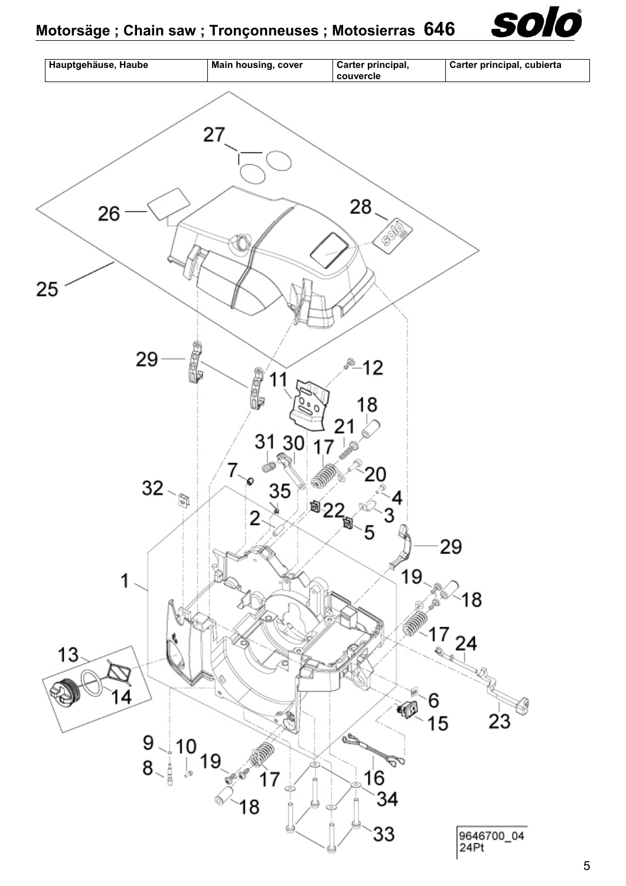

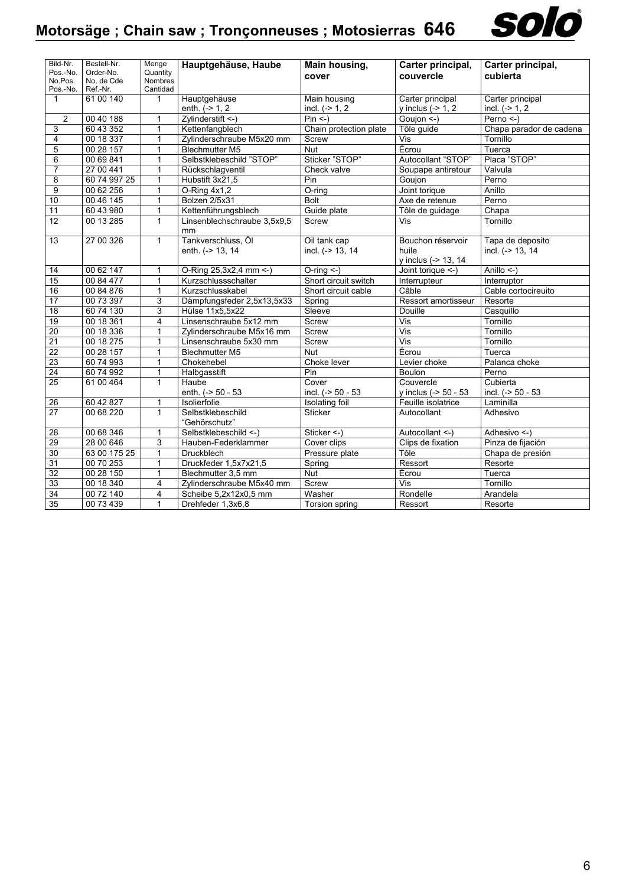

| Bild-Nr.<br>Pos.-No.<br>No.Pos.<br>Pos.-No. | Bestell-Nr.<br>Order-No.<br>No. de Cde<br>Ref.-Nr. | Menge<br>Quantity<br>Nombres<br>Cantidad | Hauptgehäuse, Haube                    | Main housing,<br>cover           | Carter principal,<br>couvercle                    | Carter principal,<br>cubierta        |
|---------------------------------------------|----------------------------------------------------|------------------------------------------|----------------------------------------|----------------------------------|---------------------------------------------------|--------------------------------------|
| 1                                           | 61 00 140                                          | 1                                        | Hauptgehäuse                           | Main housing                     | Carter principal                                  | Carter principal                     |
|                                             |                                                    |                                          | enth. $(-2)$ 1, 2                      | incl. $(->1, 2)$                 | y inclus $(->1, 2)$                               | incl. $(-> 1, 2)$                    |
| $\overline{2}$                              | 00 40 188                                          | 1                                        | Zylinderstift <-)                      | $Pin < -$                        | Goujon <- )                                       | Perno <-)                            |
| 3                                           | 60 43 352                                          | $\mathbf{1}$                             | Kettenfangblech                        | Chain protection plate           | Tôle quide                                        | Chapa parador de cadena              |
| 4                                           | 00 18 337                                          | $\mathbf{1}$                             | Zylinderschraube M5x20 mm              | Screw                            | Vis                                               | Tornillo                             |
| 5                                           | 0028157                                            | 1                                        | <b>Blechmutter M5</b>                  | <b>Nut</b>                       | Écrou                                             | Tuerca                               |
| 6                                           | 00 69 841                                          | $\mathbf{1}$                             | Selbstklebeschild "STOP"               | Sticker "STOP"                   | Autocollant "STOP"                                | Placa "STOP"                         |
| $\overline{7}$                              | 27 00 441                                          | 1                                        | Rückschlagventil                       | Check valve                      | Soupape antiretour                                | Valvula                              |
| 8                                           | 60 74 997 25                                       | 1                                        | Hubstift 3x21,5                        | Pin                              | Goujon                                            | Perno                                |
| $\overline{9}$                              | 00 62 256                                          | $\mathbf{1}$                             | O-Ring 4x1,2                           | O-ring                           | Joint torique                                     | Anillo                               |
| 10                                          | 00 46 145                                          | 1                                        | Bolzen 2/5x31                          | <b>Bolt</b>                      | Axe de retenue                                    | Perno                                |
| 11                                          | 60 43 980                                          | 1                                        | Kettenführungsblech                    | Guide plate                      | Tôle de guidage                                   | Chapa                                |
| 12                                          | 00 13 285                                          | $\mathbf{1}$                             | Linsenblechschraube 3,5x9,5<br>mm      | Screw                            | <b>Vis</b>                                        | Tornillo                             |
| $\overline{13}$                             | 27 00 326                                          | $\mathbf{1}$                             | Tankverschluss, Öl<br>enth. (-> 13, 14 | Oil tank cap<br>incl. (-> 13, 14 | Bouchon réservoir<br>huile<br>y inclus (-> 13, 14 | Tapa de deposito<br>incl. (-> 13, 14 |
| 14                                          | 00 62 147                                          | 1                                        | O-Ring 25,3x2,4 mm <- )                | $O$ -ring $\leq$ -)              | Joint torique <-)                                 | Anillo $\leq$ -)                     |
| 15                                          | 00 84 477                                          | 1                                        | Kurzschlussschalter                    | Short circuit switch             | Interrupteur                                      | Interruptor                          |
| 16                                          | 00 84 876                                          | $\mathbf{1}$                             | Kurzschlusskabel                       | Short circuit cable              | Câble                                             | Cable cortocireuito                  |
| 17                                          | 00 73 397                                          | 3                                        | Dämpfungsfeder 2,5x13,5x33             | Spring                           | Ressort amortisseur                               | Resorte                              |
| 18                                          | 60 74 130                                          | 3                                        | Hülse 11x5,5x22                        | Sleeve                           | Douille                                           | Casquillo                            |
| 19                                          | 00 18 361                                          | 4                                        | Linsenschraube 5x12 mm                 | Screw                            | $\overline{\mathsf{Vis}}$                         | Tornillo                             |
| 20                                          | 00 18 336                                          | 1                                        | Zvlinderschraube M5x16 mm              | Screw                            | Vis                                               | Tornillo                             |
| $\overline{21}$                             | 00 18 275                                          | $\mathbf{1}$                             | Linsenschraube 5x30 mm                 | Screw                            | Vis                                               | Tornillo                             |
| $\overline{22}$                             | 00 28 157                                          | $\mathbf{1}$                             | <b>Blechmutter M5</b>                  | <b>Nut</b>                       | Écrou                                             | Tuerca                               |
| $\overline{23}$                             | 60 74 993                                          | 1                                        | Chokehebel                             | Choke lever                      | Levier choke                                      | Palanca choke                        |
| 24                                          | 60 74 992                                          | $\mathbf{1}$                             | Halbgasstift                           | Pin                              | Boulon                                            | Perno                                |
| 25                                          | 61 00 464                                          | $\mathbf{1}$                             | Haube<br>enth. (-> 50 - 53             | Cover<br>incl. (-> 50 - 53       | Couvercle<br>y inclus (-> 50 - 53                 | Cubierta<br>incl. (-> 50 - 53        |
| 26                                          | 60 42 827                                          | 1                                        | Isolierfolie                           | Isolating foil                   | Feuille isolatrice                                | Laminilla                            |
| $\overline{27}$                             | 00 68 220                                          | $\mathbf{1}$                             | Selbstklebeschild<br>"Gehörschutz"     | Sticker                          | Autocollant                                       | Adhesivo                             |
| 28                                          | 00 68 346                                          | $\mathbf{1}$                             | Selbstklebeschild <- )                 | Sticker <- )                     | Autocollant <- )                                  | Adhesivo <-)                         |
| 29                                          | 28 00 646                                          | 3                                        | Hauben-Federklammer                    | Cover clips                      | Clips de fixation                                 | Pinza de fijación                    |
| 30                                          | 63 00 175 25                                       | 1                                        | <b>Druckblech</b>                      | Pressure plate                   | Tôle                                              | Chapa de presión                     |
| 31                                          | 00 70 253                                          | $\mathbf{1}$                             | Druckfeder 1,5x7x21,5                  | Spring                           | Ressort                                           | Resorte                              |
| 32                                          | 00 28 150                                          | $\mathbf{1}$                             | Blechmutter 3,5 mm                     | <b>Nut</b>                       | Écrou                                             | Tuerca                               |
| 33                                          | 00 18 340                                          | 4                                        | Zylinderschraube M5x40 mm              | Screw                            | Vis                                               | Tornillo                             |
| $\overline{34}$                             | 00 72 140                                          | 4                                        | Scheibe 5,2x12x0,5 mm                  | Washer                           | Rondelle                                          | Arandela                             |
| $\overline{35}$                             | 00 73 439                                          | 1                                        | Drehfeder 1,3x6,8                      | <b>Torsion spring</b>            | Ressort                                           | Resorte                              |
|                                             |                                                    |                                          |                                        |                                  |                                                   |                                      |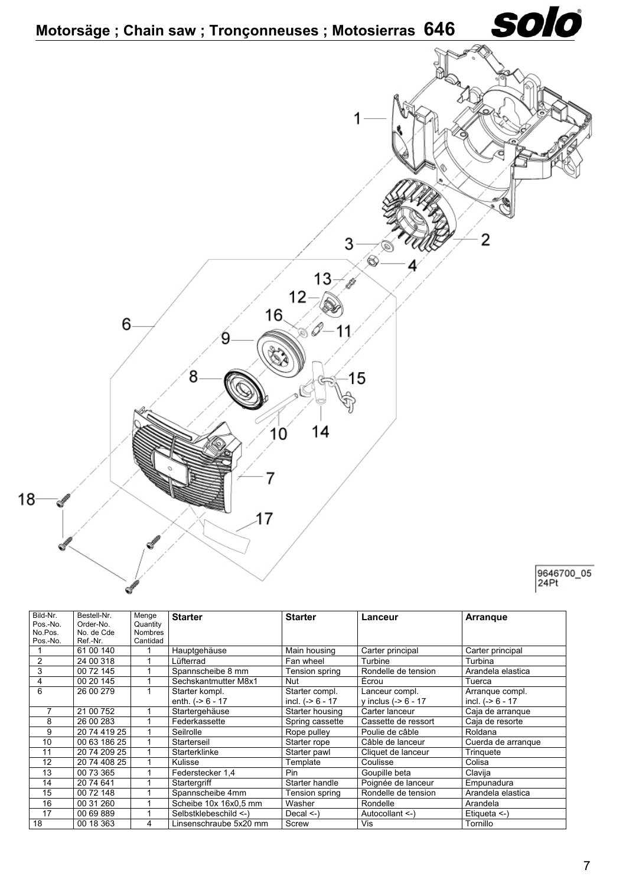

| Bild-Nr.<br>Pos.-No. | Bestell-Nr.<br>Order-No. | Menge<br>Quantity | <b>Starter</b>                       | <b>Starter</b>                        | Lanceur                                | <b>Arrangue</b>                       |
|----------------------|--------------------------|-------------------|--------------------------------------|---------------------------------------|----------------------------------------|---------------------------------------|
| No.Pos.              | No. de Cde               | <b>Nombres</b>    |                                      |                                       |                                        |                                       |
| Pos.-No.             | Ref.-Nr.                 | Cantidad          |                                      |                                       |                                        |                                       |
|                      | 61 00 140                |                   | Hauptgehäuse                         | Main housing                          | Carter principal                       | Carter principal                      |
| 2                    | 24 00 318                |                   | Lüfterrad                            | Fan wheel                             | Turbine                                | Turbina                               |
| 3                    | 00 72 145                |                   | Spannscheibe 8 mm                    | Tension spring                        | Rondelle de tension                    | Arandela elastica                     |
| 4                    | 00 20 145                |                   | Sechskantmutter M8x1                 | Nut                                   | Écrou                                  | Tuerca                                |
| 6                    | 26 00 279                |                   | Starter kompl.<br>enth. $(-56 - 17)$ | Starter compl.<br>incl. $(-8)$ 6 - 17 | Lanceur compl.<br>y inclus $(-8 - 17)$ | Arranque compl.<br>incl. $(-56 - 17)$ |
|                      | 21 00 752                |                   | Startergehäuse                       | Starter housing                       | Carter lanceur                         | Caja de arranque                      |
| 8                    | 26 00 283                |                   | Federkassette                        | Spring cassette                       | Cassette de ressort                    | Caja de resorte                       |
| 9                    | 20 74 419 25             |                   | Seilrolle                            | Rope pulley                           | Poulie de câble                        | Roldana                               |
| 10                   | 00 63 186 25             |                   | Starterseil                          | Starter rope                          | Câble de lanceur                       | Cuerda de arranque                    |
| 11                   | 20 74 209 25             |                   | Starterklinke                        | Starter pawl                          | Cliquet de lanceur                     | Tringuete                             |
| 12                   | 20 74 408 25             |                   | Kulisse                              | Template                              | Coulisse                               | Colisa                                |
| 13                   | 00 73 365                |                   | Federstecker 1,4                     | Pin                                   | Goupille beta                          | Clavija                               |
| 14                   | 20 74 641                |                   | Startergriff                         | Starter handle                        | Poignée de lanceur                     | Empunadura                            |
| 15                   | 00 72 148                |                   | Spannscheibe 4mm                     | Tension spring                        | Rondelle de tension                    | Arandela elastica                     |
| 16                   | 00 31 260                |                   | Scheibe 10x 16x0.5 mm                | Washer                                | Rondelle                               | Arandela                              |
| 17                   | 00 69 889                |                   | Selbstklebeschild <-)                | Decal $\le$ -)                        | Autocollant <-)                        | Etiqueta $\leq$ -)                    |
| 18                   | 00 18 363                | 4                 | insenschraube 5x20 mm                | Screw                                 | Vis                                    | Tornillo                              |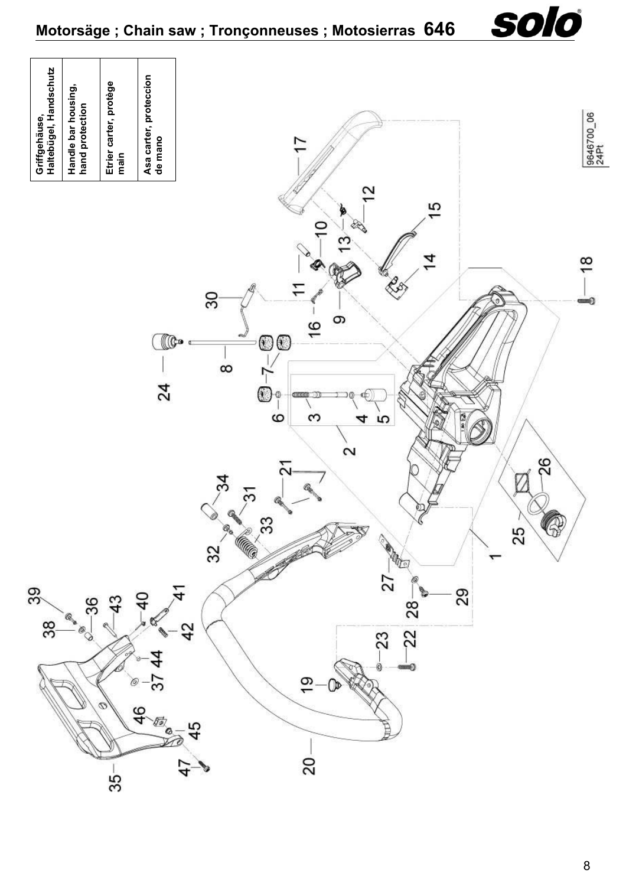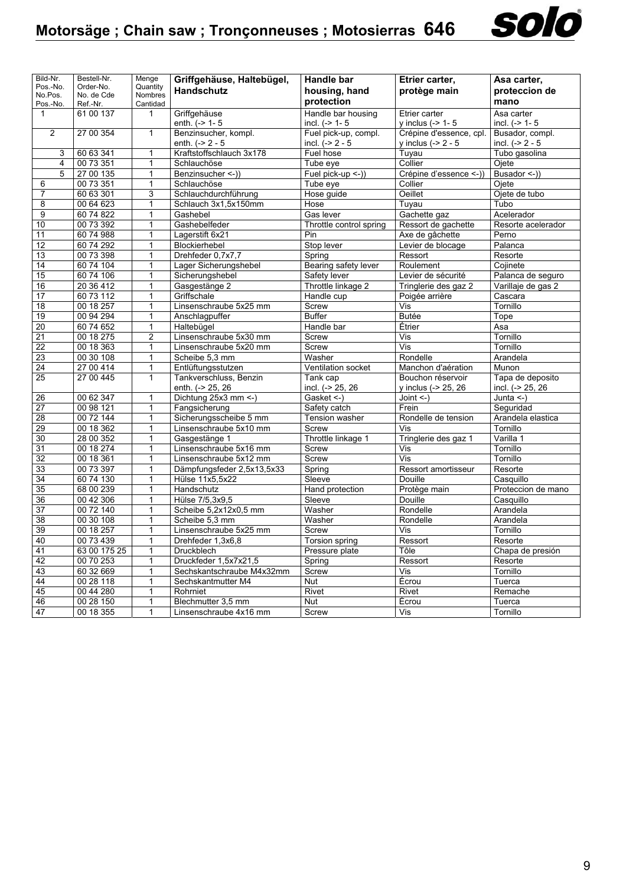

| Bild-Nr.            | Bestell-Nr.            | Menge                   | Griffgehäuse, Haltebügel,                       | Handle bar              | Etrier carter,                     | Asa carter,             |
|---------------------|------------------------|-------------------------|-------------------------------------------------|-------------------------|------------------------------------|-------------------------|
| Pos.-No.            | Order-No.              | Quantity                | <b>Handschutz</b>                               | housing, hand           | protège main                       | proteccion de           |
| No.Pos.<br>Pos.-No. | No. de Cde<br>Ref.-Nr. | Nombres<br>Cantidad     |                                                 | protection              |                                    | mano                    |
| $\mathbf{1}$        | 61 00 137              | $\mathbf{1}$            | Griffgehäuse                                    | Handle bar housing      | Etrier carter                      | Asa carter              |
|                     |                        |                         | enth. $(-2)$ 1-5                                | incl. $(-> 1 - 5$       | y inclus $(-> 1 - 5$               | incl. $(-> 1 - 5$       |
| $\overline{2}$      | 27 00 354              | $\mathbf{1}$            | Benzinsucher, kompl.                            | Fuel pick-up, compl.    | Crépine d'essence, cpl.            | Busador, compl.         |
|                     |                        |                         | enth. $(-2 - 5)$                                | incl. $(-2 - 5)$        | y inclus $(-2 - 5$                 | incl. $(-2 - 5)$        |
| 3                   | 60 63 341              | 1                       | Kraftstoffschlauch 3x178                        | Fuel hose               | Tuyau                              | Tubo gasolina           |
| 4                   | 00 73 351              | $\mathbf{1}$            | Schlauchöse                                     | Tube eye                | Collier                            | Ojete                   |
| 5                   | 27 00 135              | $\mathbf{1}$            | Benzinsucher <- ))                              | Fuel pick-up <-))       | Crépine d'essence <-))             | Busador <- ))           |
| 6                   | 00 73 351              | 1                       | Schlauchöse                                     | Tube eye                | Collier                            | Ojete                   |
| $\overline{7}$      | 60 63 301              | 3                       | Schlauchdurchführung                            | Hose guide              | Oeillet                            | Ojete de tubo           |
| 8                   | 00 64 623              | 1                       | Schlauch 3x1,5x150mm                            | Hose                    | Tuyau                              | Tubo                    |
| 9                   | 60 74 822              | $\mathbf{1}$            | Gashebel                                        | Gas lever               | Gachette gaz                       | Acelerador              |
| 10                  | 00 73 392              | $\mathbf{1}$            | Gashebelfeder                                   | Throttle control spring | Ressort de gachette                | Resorte acelerador      |
| 11                  | 60 74 988              | 1                       | Lagerstift 6x21                                 | Pin                     | Axe de gâchette                    | Perno                   |
| 12                  | 60 74 292              | $\mathbf{1}$            | Blockierhebel                                   | Stop lever              | Levier de blocage                  | Palanca                 |
| 13                  | 00 73 398              | 1                       | Drehfeder 0,7x7,7                               | Spring                  | Ressort                            | Resorte                 |
| 14                  | 60 74 104              | $\mathbf{1}$            | Lager Sicherungshebel                           | Bearing safety lever    | Roulement                          | Cojinete                |
| 15                  | 60 74 106              | $\mathbf{1}$            | Sicherungshebel                                 | Safety lever            | Levier de sécurité                 | Palanca de seguro       |
| 16                  | 20 36 412              | $\mathbf{1}$            | Gasgestänge 2                                   | Throttle linkage 2      | Tringlerie des gaz 2               | Varillaje de gas 2      |
| 17                  | 60 73 112              | $\mathbf{1}$            | Griffschale                                     | Handle cup              | Poigée arrière                     | Cascara                 |
| 18                  | 00 18 257              | 1                       | Linsenschraube 5x25 mm                          | Screw                   | Vis                                | Tornillo                |
| 19                  | 00 94 294              | $\overline{1}$          | Anschlagpuffer                                  | <b>Buffer</b>           | <b>Butée</b>                       | Tope                    |
| 20                  | 60 74 652              | $\overline{1}$          | Haltebügel                                      | Handle bar              | Étrier                             | Asa                     |
| 21                  | 00 18 275              | $\overline{2}$          | Linsenschraube 5x30 mm                          | Screw                   | Vis                                | Tornillo                |
| $\overline{22}$     | 00 18 363              | $\mathbf{1}$            | Linsenschraube 5x20 mm                          | Screw                   | Vis                                | Tornillo                |
| $\overline{23}$     | 00 30 108              | 1                       | Scheibe 5,3 mm                                  | Washer                  | Rondelle                           | Arandela                |
| 24                  | 27 00 414              | $\overline{\mathbf{1}}$ | Entlüftungsstutzen                              | Ventilation socket      | Manchon d'aération                 | Munon                   |
| $\overline{25}$     | 27 00 445              | $\overline{1}$          | Tankverschluss, Benzin                          | Tank cap                | Bouchon réservoir                  | Tapa de deposito        |
|                     |                        |                         | enth. (-> 25, 26                                | incl. (-> 25, 26        | y inclus (-> 25, 26                | incl. (-> 25, 26        |
| 26                  | 00 62 347              | $\mathbf{1}$            | Dichtung 25x3 mm <- )                           | Gasket <-)              | Joint $\leq$ -)                    | $\overline{J}$ unta <-) |
| 27                  | 00 98 121              | 1                       | Fangsicherung                                   | Safety catch            | Frein                              | Sequridad               |
| 28                  | 00 72 144              | $\mathbf{1}$            | Sicherungsscheibe 5 mm                          | Tension washer          | Rondelle de tension                | Arandela elastica       |
| 29                  | 00 18 362              | $\mathbf{1}$            | Linsenschraube 5x10 mm                          | Screw                   | Vis                                | Tornillo                |
| 30                  | 28 00 352              | 1                       | Gasgestänge 1                                   | Throttle linkage 1      | Tringlerie des gaz 1               | Varilla 1               |
| $\overline{31}$     | 00 18 274              | $\mathbf{1}$            | Linsenschraube 5x16 mm                          | Screw                   | Vis                                | Tornillo                |
| 32                  | 00 18 361              | $\mathbf{1}$            | Linsenschraube 5x12 mm                          | Screw                   | Vis                                | Tornillo                |
| 33                  | 00 73 397              | $\overline{1}$          | Dämpfungsfeder 2,5x13,5x33                      | Spring                  | Ressort amortisseur                | Resorte                 |
| 34                  | 60 74 130              | $\mathbf{1}$            | Hülse 11x5,5x22                                 | Sleeve                  | Douille                            | Casquillo               |
| 35                  | 68 00 239              | $\mathbf{1}$            | Handschutz                                      | Hand protection         | Protège main                       | Proteccion de mano      |
| 36                  | 00 42 306              | $\mathbf{1}$            | Hülse 7/5,3x9,5                                 | Sleeve                  | Douille                            | Casquillo               |
| 37                  | 00 72 140              | $\mathbf{1}$            | Scheibe 5,2x12x0,5 mm                           | Washer                  | Rondelle                           | Arandela                |
| 38                  | 00 30 108              | $\overline{1}$          | Scheibe 5,3 mm                                  | Washer                  | Rondelle                           | Arandela                |
| 39                  | 00 18 257              | $\mathbf{1}$            | Linsenschraube 5x25 mm                          | Screw                   | Vis                                | Tornillo                |
| 40                  | 00 73 439              | $\overline{1}$          | Drehfeder 1,3x6,8                               | <b>Torsion spring</b>   | Ressort                            | Resorte                 |
| 41                  | 63 00 175 25           | $\mathbf{1}$            | Druckblech                                      | Pressure plate          | Tôle                               | Chapa de presión        |
| 42<br>43            | 00 70 253<br>60 32 669 | 1<br>$\overline{1}$     | Druckfeder 1,5x7x21,5                           | Spring                  | Ressort<br>$\overline{\text{Vis}}$ | Resorte                 |
| 44                  | 00 28 118              | $\mathbf{1}$            | Sechskantschraube M4x32mm<br>Sechskantmutter M4 | Screw<br>Nut            | Écrou                              | Tornillo<br>Tuerca      |
| 45                  | 00 44 280              | $\mathbf{1}$            | Rohrniet                                        | Rivet                   | Rivet                              | Remache                 |
| 46                  | 00 28 150              | $\mathbf{1}$            | Blechmutter 3,5 mm                              | Nut                     | Écrou                              | Tuerca                  |
| 47                  | 00 18 355              | 1                       |                                                 | Screw                   | Vis                                | Tornillo                |
|                     |                        |                         | Linsenschraube 4x16 mm                          |                         |                                    |                         |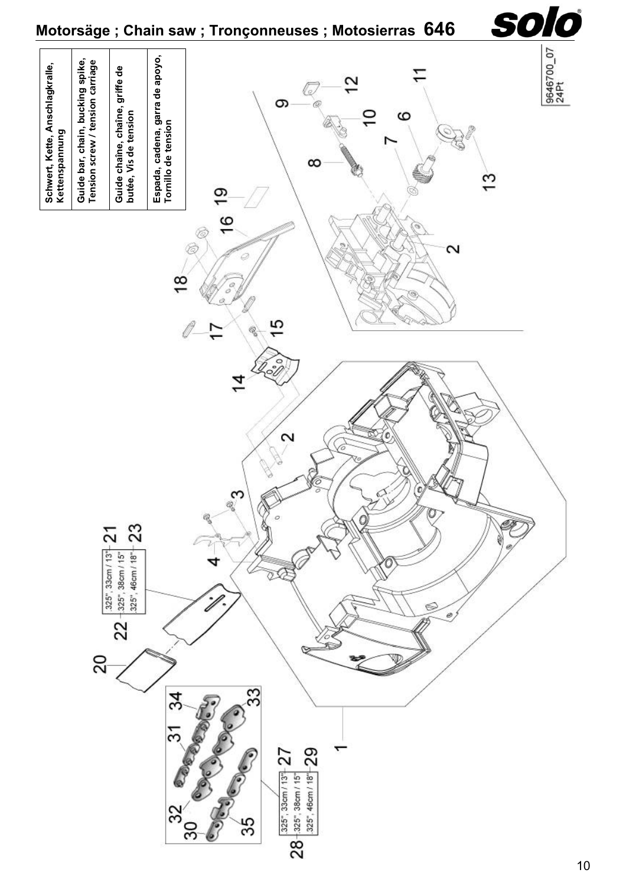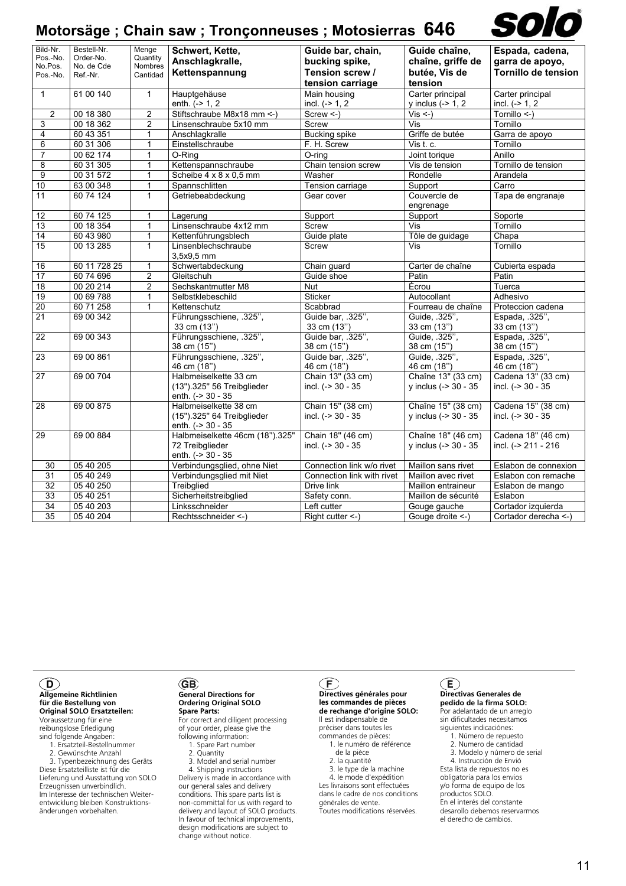|                      |                          |                         | Motorsäge; Chain saw; Tronçonneuses; Motosierras 646                     |                                          |                                                | solo                                      |
|----------------------|--------------------------|-------------------------|--------------------------------------------------------------------------|------------------------------------------|------------------------------------------------|-------------------------------------------|
| Bild-Nr.<br>Pos.-No. | Bestell-Nr.<br>Order-No. | Menge<br>Quantity       | Schwert, Kette,<br>Anschlagkralle,                                       | Guide bar, chain,<br>bucking spike,      | Guide chaîne,<br>chaîne, griffe de             | Espada, cadena,<br>garra de apoyo,        |
| No.Pos.<br>Pos.-No.  | No. de Cde<br>Ref.-Nr.   | Nombres<br>Cantidad     | Kettenspannung                                                           | Tension screw /<br>tension carriage      | butée, Vis de<br>tension                       | Tornillo de tension                       |
| $\mathbf{1}$         | 61 00 140                | $\mathbf{1}$            | Hauptgehäuse<br>enth. $(-> 1, 2)$                                        | Main housing<br>incl. $(->1, 2)$         | Carter principal<br>y inclus $(-> 1, 2)$       | Carter principal<br>incl. $(-> 1, 2)$     |
| $\overline{2}$       | 00 18 380                | $\overline{2}$          | Stiftschraube M8x18 mm <- )                                              | $Screw < -$                              | $Vis < -$                                      | Tornillo <-)                              |
| 3                    | 00 18 362                | $\overline{c}$          | Linsenschraube 5x10 mm                                                   | Screw                                    | Vis                                            | Tornillo                                  |
| 4                    | 60 43 351                | $\mathbf{1}$            | Anschlagkralle                                                           | <b>Bucking spike</b>                     | Griffe de butée                                | Garra de apoyo                            |
| 6                    | 60 31 306                | $\mathbf{1}$            | Einstellschraube                                                         | F. H. Screw                              | Vist.c.                                        | Tornillo                                  |
| $\overline{7}$       | 00 62 174                | $\mathbf{1}$            | O-Ring                                                                   | O-ring                                   | Joint torique                                  | Anillo                                    |
| 8                    | 60 31 305                | $\mathbf{1}$            | Kettenspannschraube                                                      | Chain tension screw                      | Vis de tension                                 | Tornillo de tension                       |
| 9                    | 00 31 572                | $\mathbf{1}$            | Scheibe $4 \times 8 \times 0,5$ mm                                       | Washer                                   | Rondelle                                       | Arandela                                  |
| 10                   | 63 00 348                | $\mathbf{1}$            | Spannschlitten                                                           | Tension carriage                         | Support                                        | Carro                                     |
| 11                   | 60 74 124                | $\mathbf{1}$            | Getriebeabdeckung                                                        | Gear cover                               | Couvercle de<br>engrenage                      | Tapa de engranaje                         |
| 12                   | 60 74 125                | $\mathbf{1}$            | Lagerung                                                                 | Support                                  | Support                                        | Soporte                                   |
| 13                   | 00 18 354                | $\mathbf{1}$            | Linsenschraube 4x12 mm                                                   | Screw                                    | Vis                                            | Tornillo                                  |
| $\overline{14}$      | 60 43 980                | $\mathbf{1}$            | Kettenführungsblech                                                      | Guide plate                              | Tôle de guidage                                | $\overline{Chapa}$                        |
| 15                   | 00 13 285                | $\mathbf{1}$            | Linsenblechschraube<br>$3,5x9.5$ mm                                      | Screw                                    | Vis                                            | Tornillo                                  |
| 16                   | 60 11 728 25             | 1                       | Schwertabdeckung                                                         | Chain guard                              | Carter de chaîne                               | Cubierta espada                           |
| 17                   | 60 74 696                | $\overline{\mathbf{c}}$ | Gleitschuh                                                               | Guide shoe                               | Patin                                          | Patin                                     |
| $\overline{18}$      | 00 20 214                | $\overline{c}$          | Sechskantmutter M8                                                       | <b>Nut</b>                               | Écrou                                          | Tuerca                                    |
| 19                   | 00 69 788                | $\mathbf{1}$            | Selbstklebeschild                                                        | <b>Sticker</b>                           | Autocollant                                    | Adhesivo                                  |
| 20                   | 60 71 258                | $\mathbf{1}$            | Kettenschutz                                                             | Scabbrad                                 | Fourreau de chaîne                             | Proteccion cadena                         |
| 21                   | 69 00 342                |                         | Führungsschiene, .325",<br>33 cm (13")                                   | Guide bar, .325",<br>33 cm (13")         | Guide, .325",<br>33 cm (13")                   | Espada, .325",<br>33 cm (13")             |
| 22                   | 69 00 343                |                         | Führungsschiene, .325",<br>38 cm (15")                                   | Guide bar, .325",<br>38 cm (15")         | Guide, .325",<br>38 cm (15")                   | Espada, .325",<br>38 cm (15")             |
| 23                   | 69 00 861                |                         | Führungsschiene, .325",<br>46 cm (18")                                   | Guide bar, .325",<br>46 cm (18")         | Guide, .325",<br>46 cm (18")                   | Espada, .325",<br>46 cm (18")             |
| 27                   | 69 00 704                |                         | Halbmeiselkette 33 cm<br>(13").325" 56 Treibglieder<br>enth. (-> 30 - 35 | Chain 13" (33 cm)<br>incl. (-> 30 - 35   | Chaîne 13" (33 cm)<br>y inclus (-> 30 - 35     | Cadena 13" (33 cm)<br>incl. (-> 30 - 35   |
| 28                   | 69 00 875                |                         | Halbmeiselkette 38 cm<br>(15").325" 64 Treibglieder<br>enth. (-> 30 - 35 | Chain 15" (38 cm)<br>incl. (-> 30 - 35   | Chaîne 15" (38 cm)<br>y inclus (-> $30 - 35$ ) | Cadena 15" (38 cm)<br>incl. (-> 30 - 35   |
| 29                   | 69 00 884                |                         | Halbmeiselkette 46cm (18").325"<br>72 Treibglieder<br>enth. (-> 30 - 35  | Chain 18" (46 cm)<br>incl. $(-> 30 - 35$ | Chaîne 18" (46 cm)<br>v inclus $(-)$ 30 - 35   | Cadena 18" (46 cm)<br>incl. (-> 211 - 216 |
| 30                   | 05 40 205                |                         | Verbindungsglied, ohne Niet                                              | Connection link w/o rivet                | Maillon sans rivet                             | Eslabon de connexion                      |
| 31                   | 05 40 249                |                         | Verbindungsglied mit Niet                                                | Connection link with rivet               | Maillon avec rivet                             | Eslabon con remache                       |
| 32                   | 05 40 250                |                         | Treibglied                                                               | Drive link                               | Maillon entraineur                             | Eslabon de mango                          |
| 33                   | 05 40 251                |                         | Sicherheitstreibglied                                                    | Safety conn.                             | Maillon de sécurité                            | Eslabon                                   |
| 34                   | 05 40 203                |                         | Linksschneider                                                           | Left cutter                              | Gouge gauche                                   | Cortador izquierda                        |
| 35                   | 05 40 204                |                         | Rechtsschneider <- )                                                     | Right cutter $\leq$ -)                   | Gouge droite <-)                               | Cortador derecha <-)                      |

### $\mathbf{D}$

#### **Allgemeine Richtlinien für die Bestellung von Original SOLO Ersatzteilen:** Voraussetzung für eine

reibungslose Erledigung sind folgende Angaben: 1. Ersatzteil-Bestellnummer

2. Gewünschte Anzahl

 3. Typenbezeichnung des Geräts Diese Ersatzteilliste ist für die Lieferung und Ausstattung von SOLO Erzeugnissen unverbindlich. Im Interesse der technischen Weiterentwicklung bleiben Konstruktionsänderungen vorbehalten.

#### **GB General Directions for Ordering Original SOLO**

**Spare Parts:** For correct and diligent processing of your order, please give the following information:

- 
- 1. Spare Part number<br>2. Ouantity **Quantity**
- 3. Model and serial number

 4. Shipping instructions Delivery is made in accordance with our general sales and delivery conditions. This spare parts list is non-committal for us with regard to delivery and layout of SOLO products. In favour of technical improvements, design modifications are subject to change without notice.

## $\sqrt{F}$

**Directives générales pour les commandes de pièces de rechange d'origine SOLO:** Il est indispensable de préciser dans toutes les

- commandes de pièces: 1. le numéro de référence
	- de la pièce
	-

 2. la quantité 3. le type de la machine 4. le mode d'expédition Les livraisons sont effectuées dans le cadre de nos conditions générales de vente. Toutes modifications réservées.

## $\left( \mathsf{E}\right)$

**Directivas Generales de pedido de la firma SOLO:**

Por adelantado de un arreglo sin dificultades necesitamos siguientes indicaciónes:

1. Número de repuesto

- 2. Numero de cantidad
- 3. Modelo y número de serial 4. Instrucción de Envió Esta lista de repuestos no es obligatoria para los envios y/o forma de equipo de los

productos SOLO. En el interés del constante

desarollo debemos reservarmos el derecho de cambios.